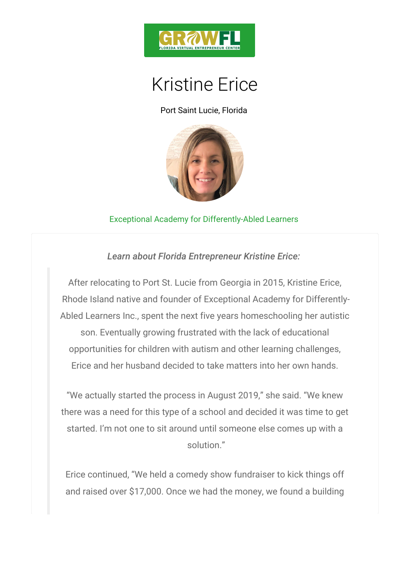

## Kristine Erice

Port Saint Lucie, Florida

## [Exceptional Academ](https://www.exceptionalacademypsl.com/)y for Differently-Abled Learner

Learn about Florida Entrepreneur Kristine Eri

After relocating to Port St. Lucie from Georgia in 2015 Rhode Island native and founder of Exceptional Acade Abled Learners Inc., spent the next five years homesc son. Eventually growing frustrated with the lack of opportunities for children with autism and other lear Erice and her husband decided to take matters into I

We actually started the process in August 2019, she there was a need for this type of a school and decided started. I m not one to sit around until someone else solution.

Erice continued, We held a comedy show fundraiser and raised over  $$17,000$ . Once we had the money, we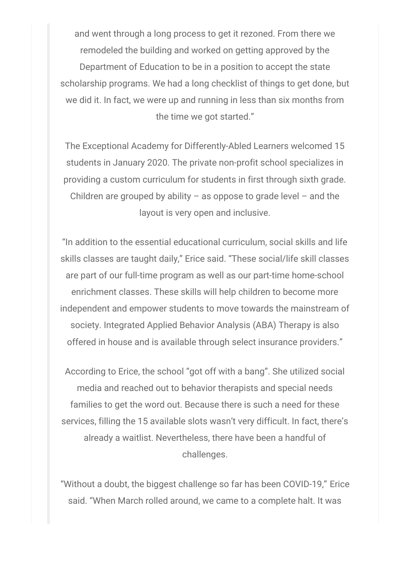and went through a long process to get it rezoned. From there we remodeled the building and worked on getting approved by the Department of Education to be in a position to accept the state scholarship programs. We had a long checklist of things to get done, but we did it. In fact, we were up and running in less than six months from the time we got started."

The Exceptional Academy for Differently-Abled Learners welcomed 15 students in January 2020. The private non-profit school specializes in providing a custom curriculum for students in first through sixth grade. Children are grouped by ability  $-$  as oppose to grade level  $-$  and the layout is very open and inclusive.

"In addition to the essential educational curriculum, social skills and life skills classes are taught daily," Erice said. "These social/life skill classes are part of our full-time program as well as our part-time home-school enrichment classes. These skills will help children to become more independent and empower students to move towards the mainstream of society. Integrated Applied Behavior Analysis (ABA) Therapy is also offered in house and is available through select insurance providers."

According to Erice, the school "got off with a bang". She utilized social media and reached out to behavior therapists and special needs families to get the word out. Because there is such a need for these services, filling the 15 available slots wasn't very difficult. In fact, there's already a waitlist. Nevertheless, there have been a handful of challenges.

"Without a doubt, the biggest challenge so far has been COVID-19," Erice said. "When March rolled around, we came to a complete halt. It was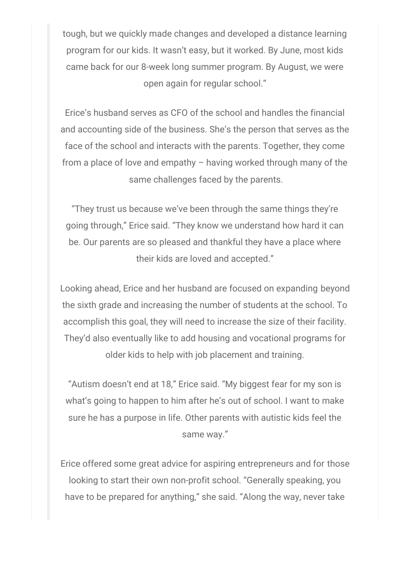tough, but we quickly made changes and developed a distance learning program for our kids. It wasn't easy, but it worked. By June, most kids came back for our 8-week long summer program. By August, we were open again for regular school."

Erice's husband serves as CFO of the school and handles the financial and accounting side of the business. She's the person that serves as the face of the school and interacts with the parents. Together, they come from a place of love and empathy – having worked through many of the same challenges faced by the parents.

"They trust us because we've been through the same things they're going through," Erice said. "They know we understand how hard it can be. Our parents are so pleased and thankful they have a place where their kids are loved and accepted."

Looking ahead, Erice and her husband are focused on expanding beyond the sixth grade and increasing the number of students at the school. To accomplish this goal, they will need to increase the size of their facility. They'd also eventually like to add housing and vocational programs for older kids to help with job placement and training.

"Autism doesn't end at 18," Erice said. "My biggest fear for my son is what's going to happen to him after he's out of school. I want to make sure he has a purpose in life. Other parents with autistic kids feel the same way."

Erice offered some great advice for aspiring entrepreneurs and for those looking to start their own non-profit school. "Generally speaking, you have to be prepared for anything," she said. "Along the way, never take